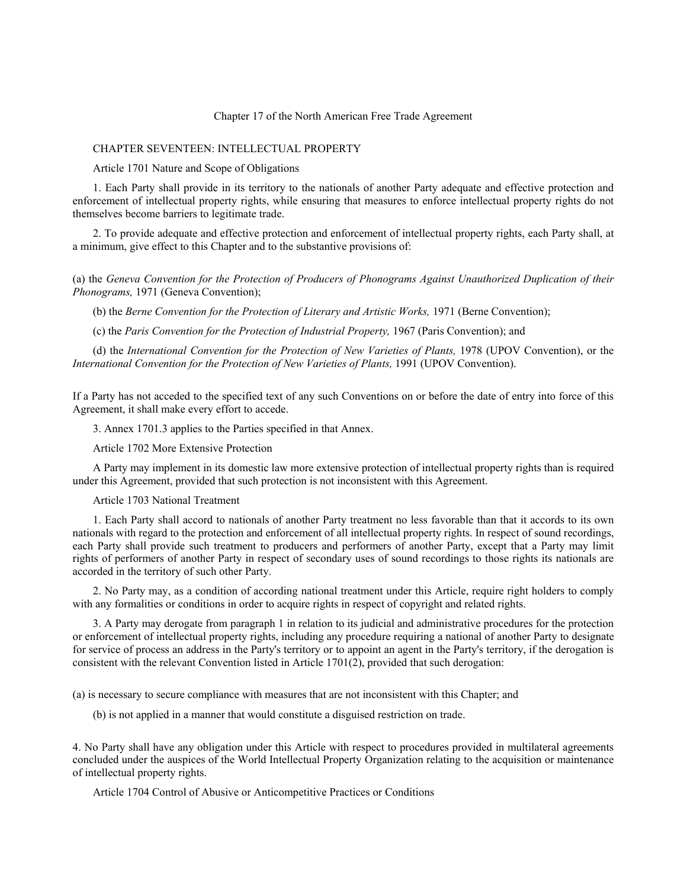# Chapter 17 of the North American Free Trade Agreement

## CHAPTER SEVENTEEN: INTELLECTUAL PROPERTY

Article 1701 Nature and Scope of Obligations

1. Each Party shall provide in its territory to the nationals of another Party adequate and effective protection and enforcement of intellectual property rights, while ensuring that measures to enforce intellectual property rights do not themselves become barriers to legitimate trade.

2. To provide adequate and effective protection and enforcement of intellectual property rights, each Party shall, at a minimum, give effect to this Chapter and to the substantive provisions of:

(a) the *Geneva Convention for the Protection of Producers of Phonograms Against Unauthorized Duplication of their Phonograms,* 1971 (Geneva Convention);

(b) the *Berne Convention for the Protection of Literary and Artistic Works,* 1971 (Berne Convention);

(c) the *Paris Convention for the Protection of Industrial Property,* 1967 (Paris Convention); and

(d) the *International Convention for the Protection of New Varieties of Plants,* 1978 (UPOV Convention), or the *International Convention for the Protection of New Varieties of Plants,* 1991 (UPOV Convention).

If a Party has not acceded to the specified text of any such Conventions on or before the date of entry into force of this Agreement, it shall make every effort to accede.

3. Annex 1701.3 applies to the Parties specified in that Annex.

Article 1702 More Extensive Protection

A Party may implement in its domestic law more extensive protection of intellectual property rights than is required under this Agreement, provided that such protection is not inconsistent with this Agreement.

Article 1703 National Treatment

1. Each Party shall accord to nationals of another Party treatment no less favorable than that it accords to its own nationals with regard to the protection and enforcement of all intellectual property rights. In respect of sound recordings, each Party shall provide such treatment to producers and performers of another Party, except that a Party may limit rights of performers of another Party in respect of secondary uses of sound recordings to those rights its nationals are accorded in the territory of such other Party.

2. No Party may, as a condition of according national treatment under this Article, require right holders to comply with any formalities or conditions in order to acquire rights in respect of copyright and related rights.

3. A Party may derogate from paragraph 1 in relation to its judicial and administrative procedures for the protection or enforcement of intellectual property rights, including any procedure requiring a national of another Party to designate for service of process an address in the Party's territory or to appoint an agent in the Party's territory, if the derogation is consistent with the relevant Convention listed in Article  $1701(2)$ , provided that such derogation:

(a) is necessary to secure compliance with measures that are not inconsistent with this Chapter; and

(b) is not applied in a manner that would constitute a disguised restriction on trade.

4. No Party shall have any obligation under this Article with respect to procedures provided in multilateral agreements concluded under the auspices of the World Intellectual Property Organization relating to the acquisition or maintenance of intellectual property rights.

Article 1704 Control of Abusive or Anticompetitive Practices or Conditions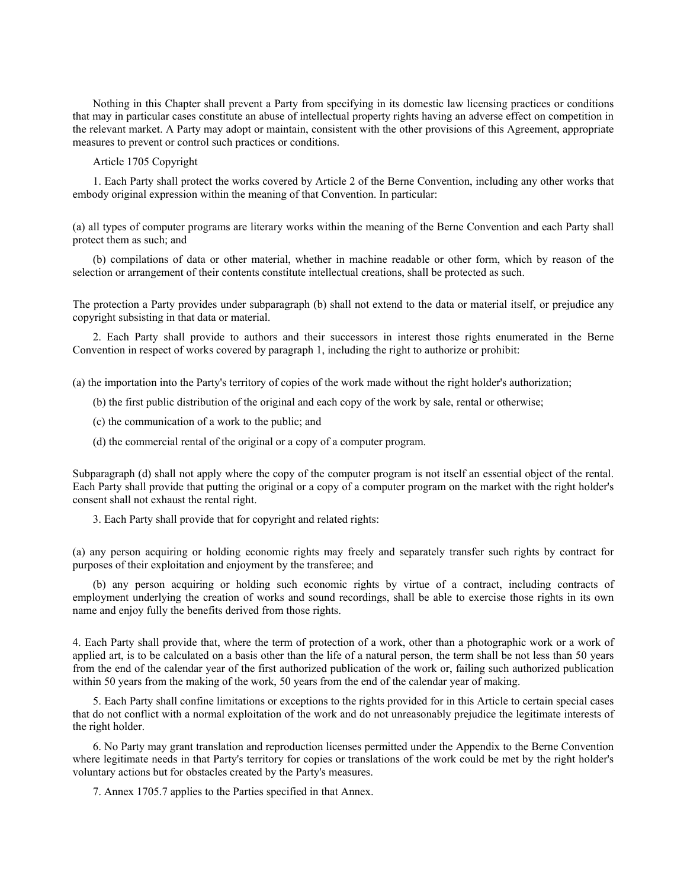Nothing in this Chapter shall prevent a Party from specifying in its domestic law licensing practices or conditions that may in particular cases constitute an abuse of intellectual property rights having an adverse effect on competition in the relevant market. A Party may adopt or maintain, consistent with the other provisions of this Agreement, appropriate measures to prevent or control such practices or conditions.

Article 1705 Copyright

1. Each Party shall protect the works covered by Article 2 of the Berne Convention, including any other works that embody original expression within the meaning of that Convention. In particular:

(a) all types of computer programs are literary works within the meaning of the Berne Convention and each Party shall protect them as such; and

(b) compilations of data or other material, whether in machine readable or other form, which by reason of the selection or arrangement of their contents constitute intellectual creations, shall be protected as such.

The protection a Party provides under subparagraph (b) shall not extend to the data or material itself, or prejudice any copyright subsisting in that data or material.

2. Each Party shall provide to authors and their successors in interest those rights enumerated in the Berne Convention in respect of works covered by paragraph 1, including the right to authorize or prohibit:

(a) the importation into the Party's territory of copies of the work made without the right holder's authorization;

(b) the first public distribution of the original and each copy of the work by sale, rental or otherwise;

- (c) the communication of a work to the public; and
- (d) the commercial rental of the original or a copy of a computer program.

Subparagraph (d) shall not apply where the copy of the computer program is not itself an essential object of the rental. Each Party shall provide that putting the original or a copy of a computer program on the market with the right holder's consent shall not exhaust the rental right.

3. Each Party shall provide that for copyright and related rights:

(a) any person acquiring or holding economic rights may freely and separately transfer such rights by contract for purposes of their exploitation and enjoyment by the transferee; and

(b) any person acquiring or holding such economic rights by virtue of a contract, including contracts of employment underlying the creation of works and sound recordings, shall be able to exercise those rights in its own name and enjoy fully the benefits derived from those rights.

4. Each Party shall provide that, where the term of protection of a work, other than a photographic work or a work of applied art, is to be calculated on a basis other than the life of a natural person, the term shall be not less than 50 years from the end of the calendar year of the first authorized publication of the work or, failing such authorized publication within 50 years from the making of the work, 50 years from the end of the calendar year of making.

5. Each Party shall confine limitations or exceptions to the rights provided for in this Article to certain special cases that do not conflict with a normal exploitation of the work and do not unreasonably prejudice the legitimate interests of the right holder.

6. No Party may grant translation and reproduction licenses permitted under the Appendix to the Berne Convention where legitimate needs in that Party's territory for copies or translations of the work could be met by the right holder's voluntary actions but for obstacles created by the Party's measures.

7. Annex 1705.7 applies to the Parties specified in that Annex.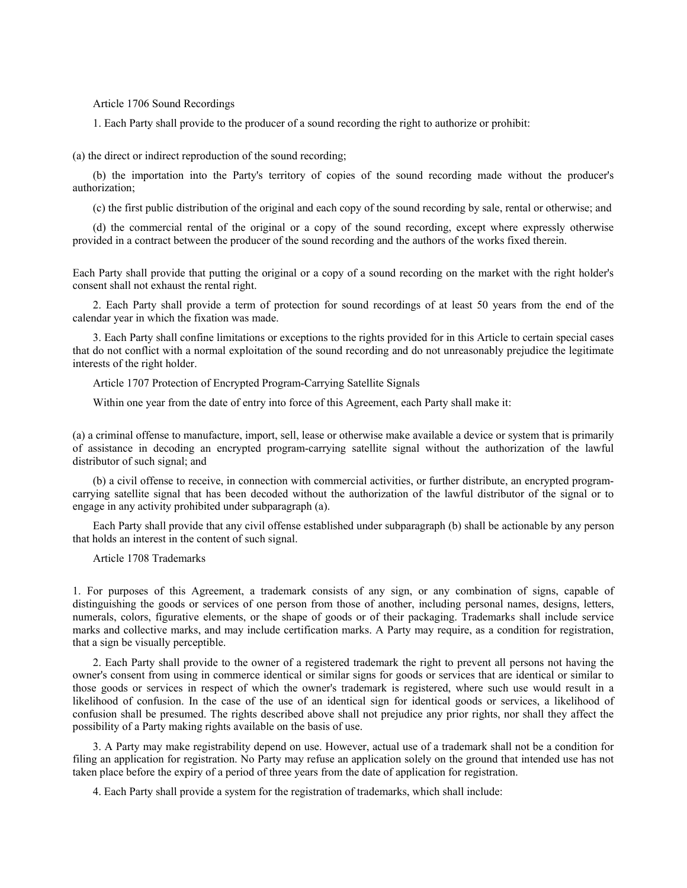Article 1706 Sound Recordings

1. Each Party shall provide to the producer of a sound recording the right to authorize or prohibit:

(a) the direct or indirect reproduction of the sound recording;

(b) the importation into the Party's territory of copies of the sound recording made without the producer's authorization;

(c) the first public distribution of the original and each copy of the sound recording by sale, rental or otherwise; and

(d) the commercial rental of the original or a copy of the sound recording, except where expressly otherwise provided in a contract between the producer of the sound recording and the authors of the works fixed therein.

Each Party shall provide that putting the original or a copy of a sound recording on the market with the right holder's consent shall not exhaust the rental right.

2. Each Party shall provide a term of protection for sound recordings of at least 50 years from the end of the calendar year in which the fixation was made.

3. Each Party shall confine limitations or exceptions to the rights provided for in this Article to certain special cases that do not conflict with a normal exploitation of the sound recording and do not unreasonably prejudice the legitimate interests of the right holder.

Article 1707 Protection of Encrypted Program-Carrying Satellite Signals

Within one year from the date of entry into force of this Agreement, each Party shall make it:

(a) a criminal offense to manufacture, import, sell, lease or otherwise make available a device or system that is primarily of assistance in decoding an encrypted program-carrying satellite signal without the authorization of the lawful distributor of such signal; and

(b) a civil offense to receive, in connection with commercial activities, or further distribute, an encrypted programcarrying satellite signal that has been decoded without the authorization of the lawful distributor of the signal or to engage in any activity prohibited under subparagraph (a).

Each Party shall provide that any civil offense established under subparagraph (b) shall be actionable by any person that holds an interest in the content of such signal.

Article 1708 Trademarks

1. For purposes of this Agreement, a trademark consists of any sign, or any combination of signs, capable of distinguishing the goods or services of one person from those of another, including personal names, designs, letters, numerals, colors, figurative elements, or the shape of goods or of their packaging. Trademarks shall include service marks and collective marks, and may include certification marks. A Party may require, as a condition for registration, that a sign be visually perceptible.

2. Each Party shall provide to the owner of a registered trademark the right to prevent all persons not having the owner's consent from using in commerce identical or similar signs for goods or services that are identical or similar to those goods or services in respect of which the owner's trademark is registered, where such use would result in a likelihood of confusion. In the case of the use of an identical sign for identical goods or services, a likelihood of confusion shall be presumed. The rights described above shall not prejudice any prior rights, nor shall they affect the possibility of a Party making rights available on the basis of use.

3. A Party may make registrability depend on use. However, actual use of a trademark shall not be a condition for filing an application for registration. No Party may refuse an application solely on the ground that intended use has not taken place before the expiry of a period of three years from the date of application for registration.

4. Each Party shall provide a system for the registration of trademarks, which shall include: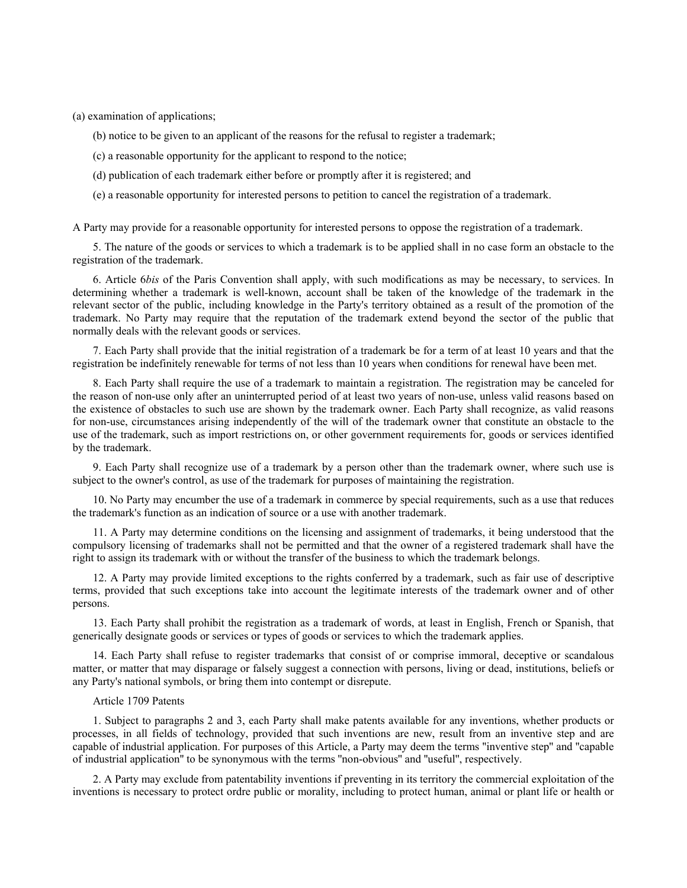(a) examination of applications;

(b) notice to be given to an applicant of the reasons for the refusal to register a trademark;

(c) a reasonable opportunity for the applicant to respond to the notice;

(d) publication of each trademark either before or promptly after it is registered; and

(e) a reasonable opportunity for interested persons to petition to cancel the registration of a trademark.

A Party may provide for a reasonable opportunity for interested persons to oppose the registration of a trademark.

5. The nature of the goods or services to which a trademark is to be applied shall in no case form an obstacle to the registration of the trademark.

6. Article 6*bis* of the Paris Convention shall apply, with such modifications as may be necessary, to services. In determining whether a trademark is well-known, account shall be taken of the knowledge of the trademark in the relevant sector of the public, including knowledge in the Party's territory obtained as a result of the promotion of the trademark. No Party may require that the reputation of the trademark extend beyond the sector of the public that normally deals with the relevant goods or services.

7. Each Party shall provide that the initial registration of a trademark be for a term of at least 10 years and that the registration be indefinitely renewable for terms of not less than 10 years when conditions for renewal have been met.

8. Each Party shall require the use of a trademark to maintain a registration. The registration may be canceled for the reason of non-use only after an uninterrupted period of at least two years of non-use, unless valid reasons based on the existence of obstacles to such use are shown by the trademark owner. Each Party shall recognize, as valid reasons for non-use, circumstances arising independently of the will of the trademark owner that constitute an obstacle to the use of the trademark, such as import restrictions on, or other government requirements for, goods or services identified by the trademark.

9. Each Party shall recognize use of a trademark by a person other than the trademark owner, where such use is subject to the owner's control, as use of the trademark for purposes of maintaining the registration.

10. No Party may encumber the use of a trademark in commerce by special requirements, such as a use that reduces the trademark's function as an indication of source or a use with another trademark.

11. A Party may determine conditions on the licensing and assignment of trademarks, it being understood that the compulsory licensing of trademarks shall not be permitted and that the owner of a registered trademark shall have the right to assign its trademark with or without the transfer of the business to which the trademark belongs.

12. A Party may provide limited exceptions to the rights conferred by a trademark, such as fair use of descriptive terms, provided that such exceptions take into account the legitimate interests of the trademark owner and of other persons.

13. Each Party shall prohibit the registration as a trademark of words, at least in English, French or Spanish, that generically designate goods or services or types of goods or services to which the trademark applies.

14. Each Party shall refuse to register trademarks that consist of or comprise immoral, deceptive or scandalous matter, or matter that may disparage or falsely suggest a connection with persons, living or dead, institutions, beliefs or any Party's national symbols, or bring them into contempt or disrepute.

### Article 1709 Patents

1. Subject to paragraphs 2 and 3, each Party shall make patents available for any inventions, whether products or processes, in all fields of technology, provided that such inventions are new, result from an inventive step and are capable of industrial application. For purposes of this Article, a Party may deem the terms ''inventive step'' and ''capable of industrial application'' to be synonymous with the terms ''non-obvious'' and ''useful'', respectively.

2. A Party may exclude from patentability inventions if preventing in its territory the commercial exploitation of the inventions is necessary to protect ordre public or morality, including to protect human, animal or plant life or health or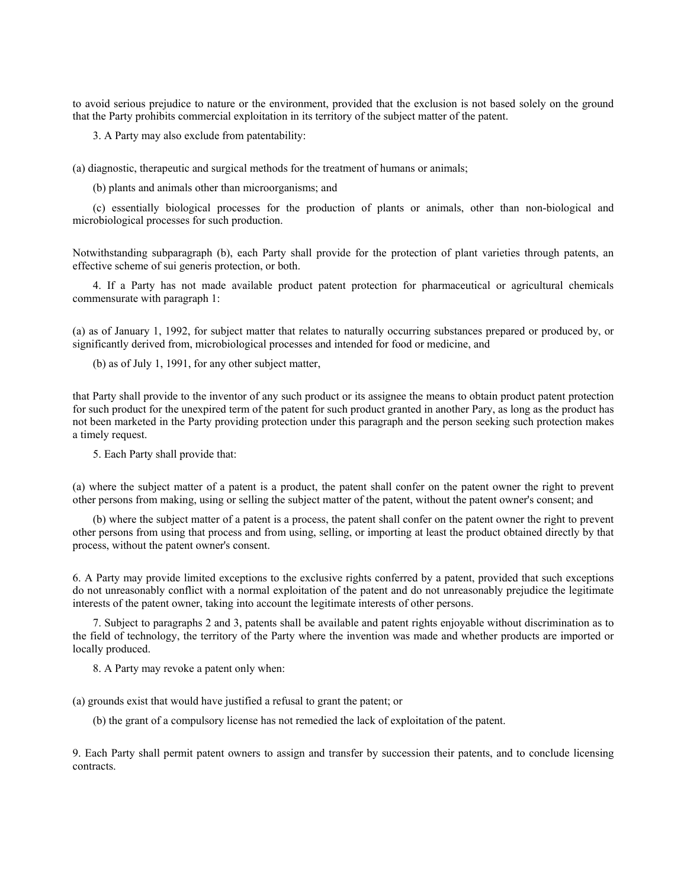to avoid serious prejudice to nature or the environment, provided that the exclusion is not based solely on the ground that the Party prohibits commercial exploitation in its territory of the subject matter of the patent.

3. A Party may also exclude from patentability:

(a) diagnostic, therapeutic and surgical methods for the treatment of humans or animals;

(b) plants and animals other than microorganisms; and

(c) essentially biological processes for the production of plants or animals, other than non-biological and microbiological processes for such production.

Notwithstanding subparagraph (b), each Party shall provide for the protection of plant varieties through patents, an effective scheme of sui generis protection, or both.

4. If a Party has not made available product patent protection for pharmaceutical or agricultural chemicals commensurate with paragraph 1:

(a) as of January 1, 1992, for subject matter that relates to naturally occurring substances prepared or produced by, or significantly derived from, microbiological processes and intended for food or medicine, and

(b) as of July 1, 1991, for any other subject matter,

that Party shall provide to the inventor of any such product or its assignee the means to obtain product patent protection for such product for the unexpired term of the patent for such product granted in another Pary, as long as the product has not been marketed in the Party providing protection under this paragraph and the person seeking such protection makes a timely request.

5. Each Party shall provide that:

(a) where the subject matter of a patent is a product, the patent shall confer on the patent owner the right to prevent other persons from making, using or selling the subject matter of the patent, without the patent owner's consent; and

(b) where the subject matter of a patent is a process, the patent shall confer on the patent owner the right to prevent other persons from using that process and from using, selling, or importing at least the product obtained directly by that process, without the patent owner's consent.

6. A Party may provide limited exceptions to the exclusive rights conferred by a patent, provided that such exceptions do not unreasonably conflict with a normal exploitation of the patent and do not unreasonably prejudice the legitimate interests of the patent owner, taking into account the legitimate interests of other persons.

7. Subject to paragraphs 2 and 3, patents shall be available and patent rights enjoyable without discrimination as to the field of technology, the territory of the Party where the invention was made and whether products are imported or locally produced.

8. A Party may revoke a patent only when:

(a) grounds exist that would have justified a refusal to grant the patent; or

(b) the grant of a compulsory license has not remedied the lack of exploitation of the patent.

9. Each Party shall permit patent owners to assign and transfer by succession their patents, and to conclude licensing contracts.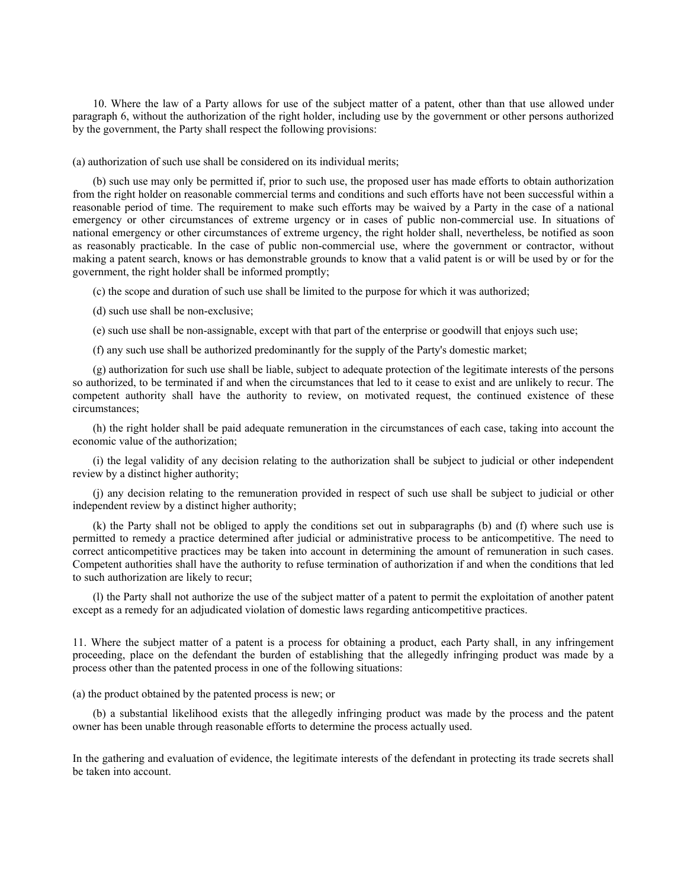10. Where the law of a Party allows for use of the subject matter of a patent, other than that use allowed under paragraph 6, without the authorization of the right holder, including use by the government or other persons authorized by the government, the Party shall respect the following provisions:

(a) authorization of such use shall be considered on its individual merits;

(b) such use may only be permitted if, prior to such use, the proposed user has made efforts to obtain authorization from the right holder on reasonable commercial terms and conditions and such efforts have not been successful within a reasonable period of time. The requirement to make such efforts may be waived by a Party in the case of a national emergency or other circumstances of extreme urgency or in cases of public non-commercial use. In situations of national emergency or other circumstances of extreme urgency, the right holder shall, nevertheless, be notified as soon as reasonably practicable. In the case of public non-commercial use, where the government or contractor, without making a patent search, knows or has demonstrable grounds to know that a valid patent is or will be used by or for the government, the right holder shall be informed promptly;

(c) the scope and duration of such use shall be limited to the purpose for which it was authorized;

(d) such use shall be non-exclusive;

(e) such use shall be non-assignable, except with that part of the enterprise or goodwill that enjoys such use;

(f) any such use shall be authorized predominantly for the supply of the Party's domestic market;

(g) authorization for such use shall be liable, subject to adequate protection of the legitimate interests of the persons so authorized, to be terminated if and when the circumstances that led to it cease to exist and are unlikely to recur. The competent authority shall have the authority to review, on motivated request, the continued existence of these circumstances;

(h) the right holder shall be paid adequate remuneration in the circumstances of each case, taking into account the economic value of the authorization;

(i) the legal validity of any decision relating to the authorization shall be subject to judicial or other independent review by a distinct higher authority;

(j) any decision relating to the remuneration provided in respect of such use shall be subject to judicial or other independent review by a distinct higher authority;

(k) the Party shall not be obliged to apply the conditions set out in subparagraphs (b) and (f) where such use is permitted to remedy a practice determined after judicial or administrative process to be anticompetitive. The need to correct anticompetitive practices may be taken into account in determining the amount of remuneration in such cases. Competent authorities shall have the authority to refuse termination of authorization if and when the conditions that led to such authorization are likely to recur;

(l) the Party shall not authorize the use of the subject matter of a patent to permit the exploitation of another patent except as a remedy for an adjudicated violation of domestic laws regarding anticompetitive practices.

11. Where the subject matter of a patent is a process for obtaining a product, each Party shall, in any infringement proceeding, place on the defendant the burden of establishing that the allegedly infringing product was made by a process other than the patented process in one of the following situations:

(a) the product obtained by the patented process is new; or

(b) a substantial likelihood exists that the allegedly infringing product was made by the process and the patent owner has been unable through reasonable efforts to determine the process actually used.

In the gathering and evaluation of evidence, the legitimate interests of the defendant in protecting its trade secrets shall be taken into account.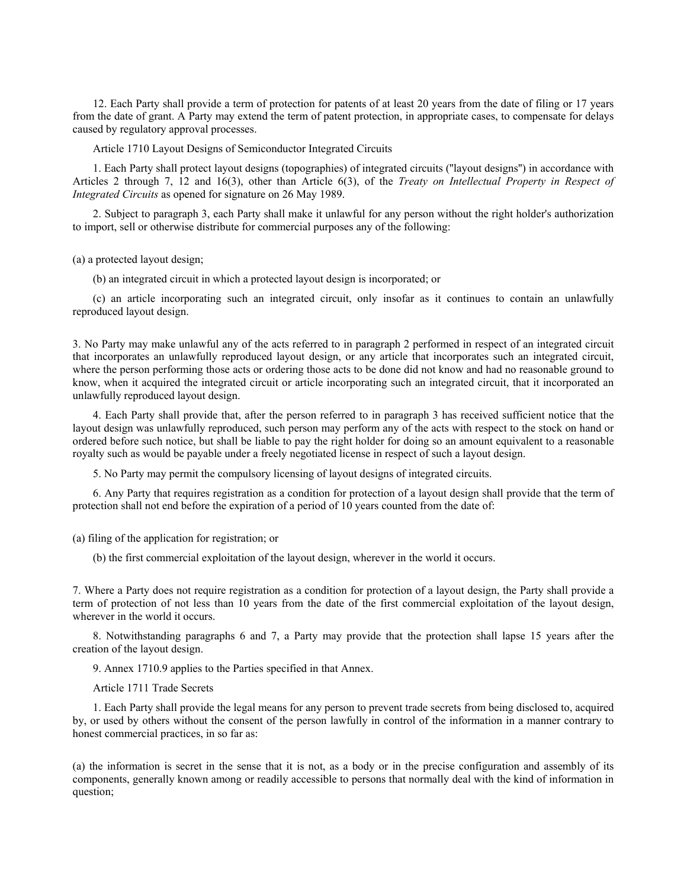12. Each Party shall provide a term of protection for patents of at least 20 years from the date of filing or 17 years from the date of grant. A Party may extend the term of patent protection, in appropriate cases, to compensate for delays caused by regulatory approval processes.

Article 1710 Layout Designs of Semiconductor Integrated Circuits

1. Each Party shall protect layout designs (topographies) of integrated circuits (''layout designs'') in accordance with Articles 2 through 7, 12 and 16(3), other than Article 6(3), of the *Treaty on Intellectual Property in Respect of Integrated Circuits* as opened for signature on 26 May 1989.

2. Subject to paragraph 3, each Party shall make it unlawful for any person without the right holder's authorization to import, sell or otherwise distribute for commercial purposes any of the following:

(a) a protected layout design;

(b) an integrated circuit in which a protected layout design is incorporated; or

(c) an article incorporating such an integrated circuit, only insofar as it continues to contain an unlawfully reproduced layout design.

3. No Party may make unlawful any of the acts referred to in paragraph 2 performed in respect of an integrated circuit that incorporates an unlawfully reproduced layout design, or any article that incorporates such an integrated circuit, where the person performing those acts or ordering those acts to be done did not know and had no reasonable ground to know, when it acquired the integrated circuit or article incorporating such an integrated circuit, that it incorporated an unlawfully reproduced layout design.

4. Each Party shall provide that, after the person referred to in paragraph 3 has received sufficient notice that the layout design was unlawfully reproduced, such person may perform any of the acts with respect to the stock on hand or ordered before such notice, but shall be liable to pay the right holder for doing so an amount equivalent to a reasonable royalty such as would be payable under a freely negotiated license in respect of such a layout design.

5. No Party may permit the compulsory licensing of layout designs of integrated circuits.

6. Any Party that requires registration as a condition for protection of a layout design shall provide that the term of protection shall not end before the expiration of a period of 10 years counted from the date of:

(a) filing of the application for registration; or

(b) the first commercial exploitation of the layout design, wherever in the world it occurs.

7. Where a Party does not require registration as a condition for protection of a layout design, the Party shall provide a term of protection of not less than 10 years from the date of the first commercial exploitation of the layout design, wherever in the world it occurs.

8. Notwithstanding paragraphs 6 and 7, a Party may provide that the protection shall lapse 15 years after the creation of the layout design.

9. Annex 1710.9 applies to the Parties specified in that Annex.

Article 1711 Trade Secrets

1. Each Party shall provide the legal means for any person to prevent trade secrets from being disclosed to, acquired by, or used by others without the consent of the person lawfully in control of the information in a manner contrary to honest commercial practices, in so far as:

(a) the information is secret in the sense that it is not, as a body or in the precise configuration and assembly of its components, generally known among or readily accessible to persons that normally deal with the kind of information in question;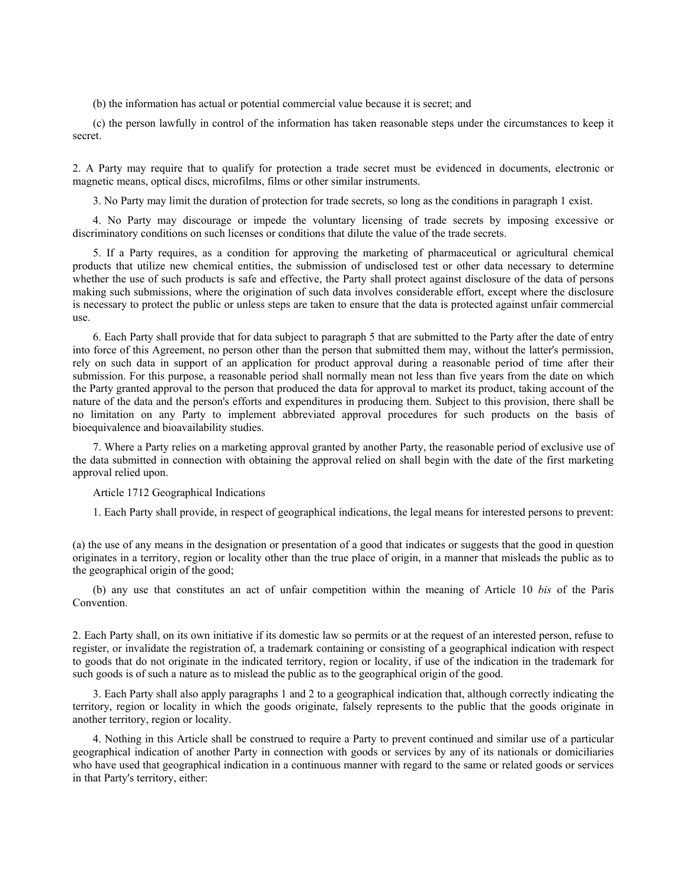(b) the information has actual or potential commercial value because it is secret; and

(c) the person lawfully in control of the information has taken reasonable steps under the circumstances to keep it secret.

2. A Party may require that to qualify for protection a trade secret must be evidenced in documents, electronic or magnetic means, optical discs, microfilms, films or other similar instruments.

3. No Party may limit the duration of protection for trade secrets, so long as the conditions in paragraph 1 exist.

4. No Party may discourage or impede the voluntary licensing of trade secrets by imposing excessive or discriminatory conditions on such licenses or conditions that dilute the value of the trade secrets.

5. If a Party requires, as a condition for approving the marketing of pharmaceutical or agricultural chemical products that utilize new chemical entities, the submission of undisclosed test or other data necessary to determine whether the use of such products is safe and effective, the Party shall protect against disclosure of the data of persons making such submissions, where the origination of such data involves considerable effort, except where the disclosure is necessary to protect the public or unless steps are taken to ensure that the data is protected against unfair commercial use.

6. Each Party shall provide that for data subject to paragraph 5 that are submitted to the Party after the date of entry into force of this Agreement, no person other than the person that submitted them may, without the latter's permission, rely on such data in support of an application for product approval during a reasonable period of time after their submission. For this purpose, a reasonable period shall normally mean not less than five years from the date on which the Party granted approval to the person that produced the data for approval to market its product, taking account of the nature of the data and the person's efforts and expenditures in producing them. Subject to this provision, there shall be no limitation on any Party to implement abbreviated approval procedures for such products on the basis of bioequivalence and bioavailability studies.

7. Where a Party relies on a marketing approval granted by another Party, the reasonable period of exclusive use of the data submitted in connection with obtaining the approval relied on shall begin with the date of the first marketing approval relied upon.

Article 1712 Geographical Indications

1. Each Party shall provide, in respect of geographical indications, the legal means for interested persons to prevent:

(a) the use of any means in the designation or presentation of a good that indicates or suggests that the good in question originates in a territory, region or locality other than the true place of origin, in a manner that misleads the public as to the geographical origin of the good;

(b) any use that constitutes an act of unfair competition within the meaning of Article 10 *bis* of the Paris Convention.

2. Each Party shall, on its own initiative if its domestic law so permits or at the request of an interested person, refuse to register, or invalidate the registration of, a trademark containing or consisting of a geographical indication with respect to goods that do not originate in the indicated territory, region or locality, if use of the indication in the trademark for such goods is of such a nature as to mislead the public as to the geographical origin of the good.

3. Each Party shall also apply paragraphs 1 and 2 to a geographical indication that, although correctly indicating the territory, region or locality in which the goods originate, falsely represents to the public that the goods originate in another territory, region or locality.

4. Nothing in this Article shall be construed to require a Party to prevent continued and similar use of a particular geographical indication of another Party in connection with goods or services by any of its nationals or domiciliaries who have used that geographical indication in a continuous manner with regard to the same or related goods or services in that Party's territory, either: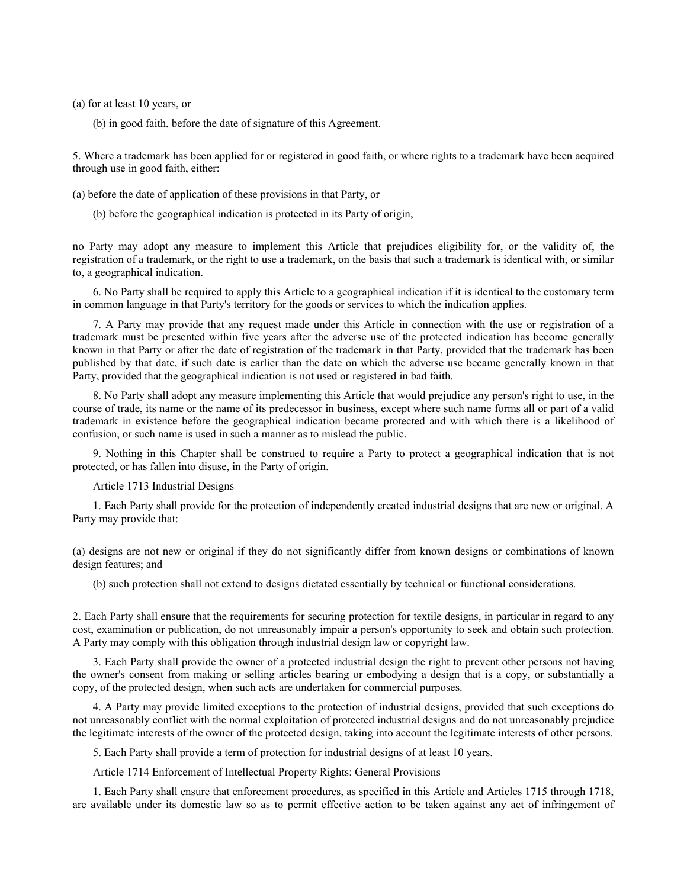(a) for at least 10 years, or

(b) in good faith, before the date of signature of this Agreement.

5. Where a trademark has been applied for or registered in good faith, or where rights to a trademark have been acquired through use in good faith, either:

(a) before the date of application of these provisions in that Party, or

(b) before the geographical indication is protected in its Party of origin,

no Party may adopt any measure to implement this Article that prejudices eligibility for, or the validity of, the registration of a trademark, or the right to use a trademark, on the basis that such a trademark is identical with, or similar to, a geographical indication.

6. No Party shall be required to apply this Article to a geographical indication if it is identical to the customary term in common language in that Party's territory for the goods or services to which the indication applies.

7. A Party may provide that any request made under this Article in connection with the use or registration of a trademark must be presented within five years after the adverse use of the protected indication has become generally known in that Party or after the date of registration of the trademark in that Party, provided that the trademark has been published by that date, if such date is earlier than the date on which the adverse use became generally known in that Party, provided that the geographical indication is not used or registered in bad faith.

8. No Party shall adopt any measure implementing this Article that would prejudice any person's right to use, in the course of trade, its name or the name of its predecessor in business, except where such name forms all or part of a valid trademark in existence before the geographical indication became protected and with which there is a likelihood of confusion, or such name is used in such a manner as to mislead the public.

9. Nothing in this Chapter shall be construed to require a Party to protect a geographical indication that is not protected, or has fallen into disuse, in the Party of origin.

Article 1713 Industrial Designs

1. Each Party shall provide for the protection of independently created industrial designs that are new or original. A Party may provide that:

(a) designs are not new or original if they do not significantly differ from known designs or combinations of known design features; and

(b) such protection shall not extend to designs dictated essentially by technical or functional considerations.

2. Each Party shall ensure that the requirements for securing protection for textile designs, in particular in regard to any cost, examination or publication, do not unreasonably impair a person's opportunity to seek and obtain such protection. A Party may comply with this obligation through industrial design law or copyright law.

3. Each Party shall provide the owner of a protected industrial design the right to prevent other persons not having the owner's consent from making or selling articles bearing or embodying a design that is a copy, or substantially a copy, of the protected design, when such acts are undertaken for commercial purposes.

4. A Party may provide limited exceptions to the protection of industrial designs, provided that such exceptions do not unreasonably conflict with the normal exploitation of protected industrial designs and do not unreasonably prejudice the legitimate interests of the owner of the protected design, taking into account the legitimate interests of other persons.

5. Each Party shall provide a term of protection for industrial designs of at least 10 years.

Article 1714 Enforcement of Intellectual Property Rights: General Provisions

1. Each Party shall ensure that enforcement procedures, as specified in this Article and Articles 1715 through 1718, are available under its domestic law so as to permit effective action to be taken against any act of infringement of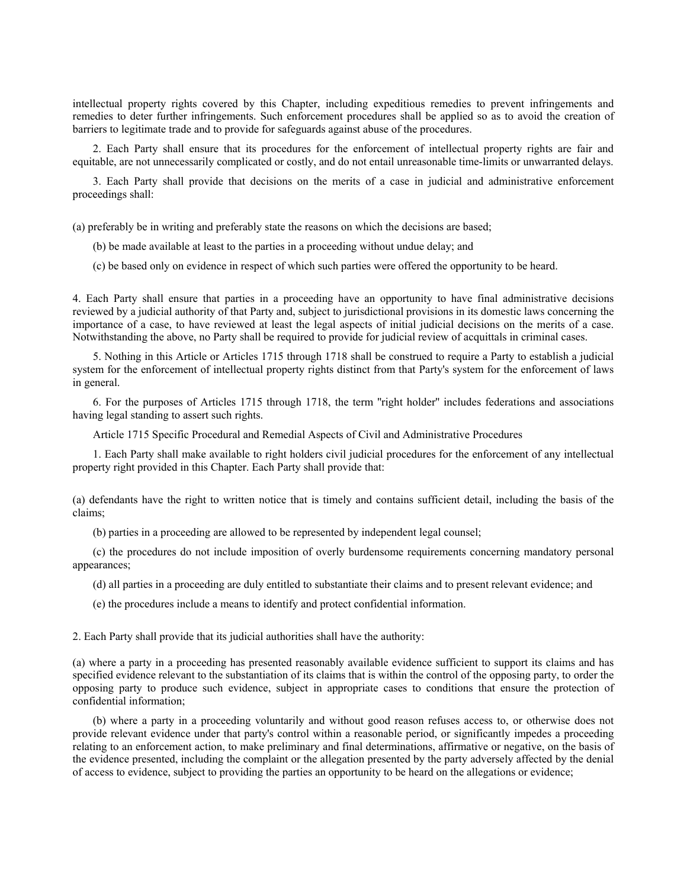intellectual property rights covered by this Chapter, including expeditious remedies to prevent infringements and remedies to deter further infringements. Such enforcement procedures shall be applied so as to avoid the creation of barriers to legitimate trade and to provide for safeguards against abuse of the procedures.

2. Each Party shall ensure that its procedures for the enforcement of intellectual property rights are fair and equitable, are not unnecessarily complicated or costly, and do not entail unreasonable time-limits or unwarranted delays.

3. Each Party shall provide that decisions on the merits of a case in judicial and administrative enforcement proceedings shall:

(a) preferably be in writing and preferably state the reasons on which the decisions are based;

- (b) be made available at least to the parties in a proceeding without undue delay; and
- (c) be based only on evidence in respect of which such parties were offered the opportunity to be heard.

4. Each Party shall ensure that parties in a proceeding have an opportunity to have final administrative decisions reviewed by a judicial authority of that Party and, subject to jurisdictional provisions in its domestic laws concerning the importance of a case, to have reviewed at least the legal aspects of initial judicial decisions on the merits of a case. Notwithstanding the above, no Party shall be required to provide for judicial review of acquittals in criminal cases.

5. Nothing in this Article or Articles 1715 through 1718 shall be construed to require a Party to establish a judicial system for the enforcement of intellectual property rights distinct from that Party's system for the enforcement of laws in general.

6. For the purposes of Articles 1715 through 1718, the term ''right holder'' includes federations and associations having legal standing to assert such rights.

Article 1715 Specific Procedural and Remedial Aspects of Civil and Administrative Procedures

1. Each Party shall make available to right holders civil judicial procedures for the enforcement of any intellectual property right provided in this Chapter. Each Party shall provide that:

(a) defendants have the right to written notice that is timely and contains sufficient detail, including the basis of the claims;

(b) parties in a proceeding are allowed to be represented by independent legal counsel;

(c) the procedures do not include imposition of overly burdensome requirements concerning mandatory personal appearances;

(d) all parties in a proceeding are duly entitled to substantiate their claims and to present relevant evidence; and

(e) the procedures include a means to identify and protect confidential information.

2. Each Party shall provide that its judicial authorities shall have the authority:

(a) where a party in a proceeding has presented reasonably available evidence sufficient to support its claims and has specified evidence relevant to the substantiation of its claims that is within the control of the opposing party, to order the opposing party to produce such evidence, subject in appropriate cases to conditions that ensure the protection of confidential information;

(b) where a party in a proceeding voluntarily and without good reason refuses access to, or otherwise does not provide relevant evidence under that party's control within a reasonable period, or significantly impedes a proceeding relating to an enforcement action, to make preliminary and final determinations, affirmative or negative, on the basis of the evidence presented, including the complaint or the allegation presented by the party adversely affected by the denial of access to evidence, subject to providing the parties an opportunity to be heard on the allegations or evidence;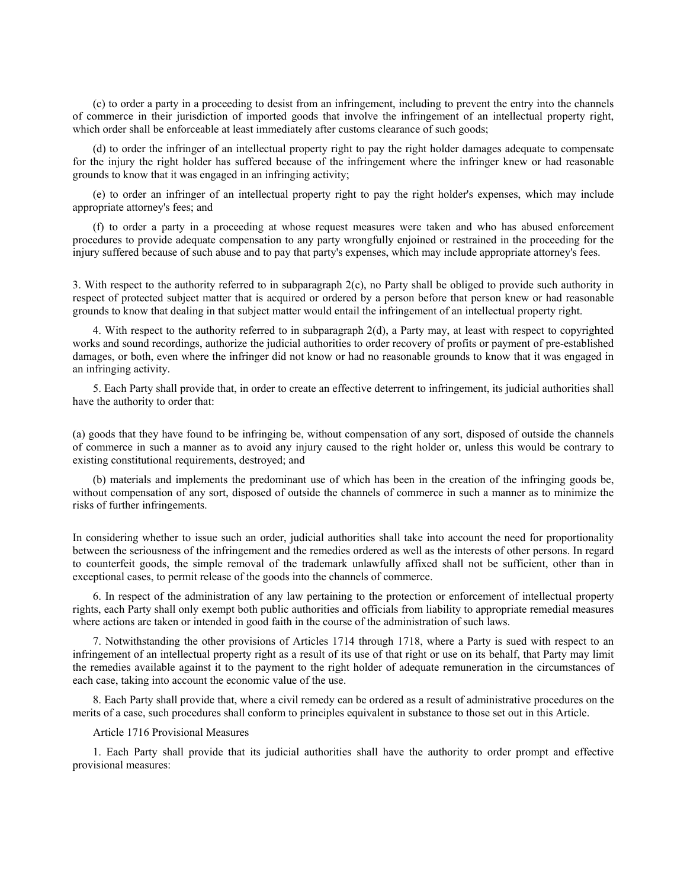(c) to order a party in a proceeding to desist from an infringement, including to prevent the entry into the channels of commerce in their jurisdiction of imported goods that involve the infringement of an intellectual property right, which order shall be enforceable at least immediately after customs clearance of such goods;

(d) to order the infringer of an intellectual property right to pay the right holder damages adequate to compensate for the injury the right holder has suffered because of the infringement where the infringer knew or had reasonable grounds to know that it was engaged in an infringing activity;

(e) to order an infringer of an intellectual property right to pay the right holder's expenses, which may include appropriate attorney's fees; and

(f) to order a party in a proceeding at whose request measures were taken and who has abused enforcement procedures to provide adequate compensation to any party wrongfully enjoined or restrained in the proceeding for the injury suffered because of such abuse and to pay that party's expenses, which may include appropriate attorney's fees.

3. With respect to the authority referred to in subparagraph 2(c), no Party shall be obliged to provide such authority in respect of protected subject matter that is acquired or ordered by a person before that person knew or had reasonable grounds to know that dealing in that subject matter would entail the infringement of an intellectual property right.

4. With respect to the authority referred to in subparagraph 2(d), a Party may, at least with respect to copyrighted works and sound recordings, authorize the judicial authorities to order recovery of profits or payment of pre-established damages, or both, even where the infringer did not know or had no reasonable grounds to know that it was engaged in an infringing activity.

5. Each Party shall provide that, in order to create an effective deterrent to infringement, its judicial authorities shall have the authority to order that:

(a) goods that they have found to be infringing be, without compensation of any sort, disposed of outside the channels of commerce in such a manner as to avoid any injury caused to the right holder or, unless this would be contrary to existing constitutional requirements, destroyed; and

(b) materials and implements the predominant use of which has been in the creation of the infringing goods be, without compensation of any sort, disposed of outside the channels of commerce in such a manner as to minimize the risks of further infringements.

In considering whether to issue such an order, judicial authorities shall take into account the need for proportionality between the seriousness of the infringement and the remedies ordered as well as the interests of other persons. In regard to counterfeit goods, the simple removal of the trademark unlawfully affixed shall not be sufficient, other than in exceptional cases, to permit release of the goods into the channels of commerce.

6. In respect of the administration of any law pertaining to the protection or enforcement of intellectual property rights, each Party shall only exempt both public authorities and officials from liability to appropriate remedial measures where actions are taken or intended in good faith in the course of the administration of such laws.

7. Notwithstanding the other provisions of Articles 1714 through 1718, where a Party is sued with respect to an infringement of an intellectual property right as a result of its use of that right or use on its behalf, that Party may limit the remedies available against it to the payment to the right holder of adequate remuneration in the circumstances of each case, taking into account the economic value of the use.

8. Each Party shall provide that, where a civil remedy can be ordered as a result of administrative procedures on the merits of a case, such procedures shall conform to principles equivalent in substance to those set out in this Article.

#### Article 1716 Provisional Measures

1. Each Party shall provide that its judicial authorities shall have the authority to order prompt and effective provisional measures: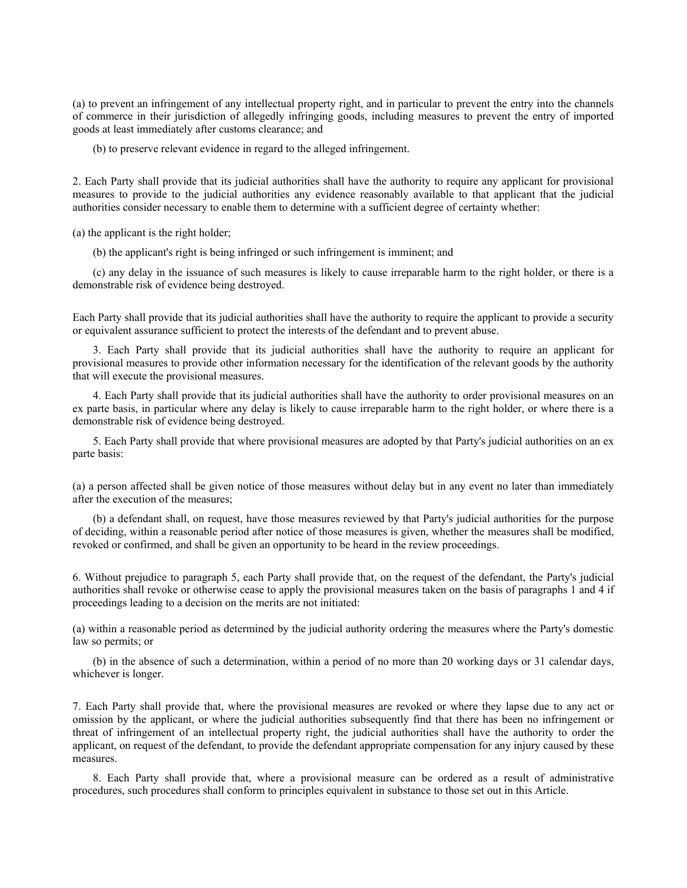(a) to prevent an infringement of any intellectual property right, and in particular to prevent the entry into the channels of commerce in their jurisdiction of allegedly infringing goods, including measures to prevent the entry of imported goods at least immediately after customs clearance; and

(b) to preserve relevant evidence in regard to the alleged infringement.

2. Each Party shall provide that its judicial authorities shall have the authority to require any applicant for provisional measures to provide to the judicial authorities any evidence reasonably available to that applicant that the judicial authorities consider necessary to enable them to determine with a sufficient degree of certainty whether:

(a) the applicant is the right holder;

(b) the applicant's right is being infringed or such infringement is imminent; and

(c) any delay in the issuance of such measures is likely to cause irreparable harm to the right holder, or there is a demonstrable risk of evidence being destroyed.

Each Party shall provide that its judicial authorities shall have the authority to require the applicant to provide a security or equivalent assurance sufficient to protect the interests of the defendant and to prevent abuse.

3. Each Party shall provide that its judicial authorities shall have the authority to require an applicant for provisional measures to provide other information necessary for the identification of the relevant goods by the authority that will execute the provisional measures.

4. Each Party shall provide that its judicial authorities shall have the authority to order provisional measures on an ex parte basis, in particular where any delay is likely to cause irreparable harm to the right holder, or where there is a demonstrable risk of evidence being destroyed.

5. Each Party shall provide that where provisional measures are adopted by that Party's judicial authorities on an ex parte basis:

(a) a person affected shall be given notice of those measures without delay but in any event no later than immediately after the execution of the measures;

(b) a defendant shall, on request, have those measures reviewed by that Party's judicial authorities for the purpose of deciding, within a reasonable period after notice of those measures is given, whether the measures shall be modified, revoked or confirmed, and shall be given an opportunity to be heard in the review proceedings.

6. Without prejudice to paragraph 5, each Party shall provide that, on the request of the defendant, the Party's judicial authorities shall revoke or otherwise cease to apply the provisional measures taken on the basis of paragraphs 1 and 4 if proceedings leading to a decision on the merits are not initiated:

(a) within a reasonable period as determined by the judicial authority ordering the measures where the Party's domestic law so permits; or

(b) in the absence of such a determination, within a period of no more than 20 working days or 31 calendar days, whichever is longer.

7. Each Party shall provide that, where the provisional measures are revoked or where they lapse due to any act or omission by the applicant, or where the judicial authorities subsequently find that there has been no infringement or threat of infringement of an intellectual property right, the judicial authorities shall have the authority to order the applicant, on request of the defendant, to provide the defendant appropriate compensation for any injury caused by these measures.

8. Each Party shall provide that, where a provisional measure can be ordered as a result of administrative procedures, such procedures shall conform to principles equivalent in substance to those set out in this Article.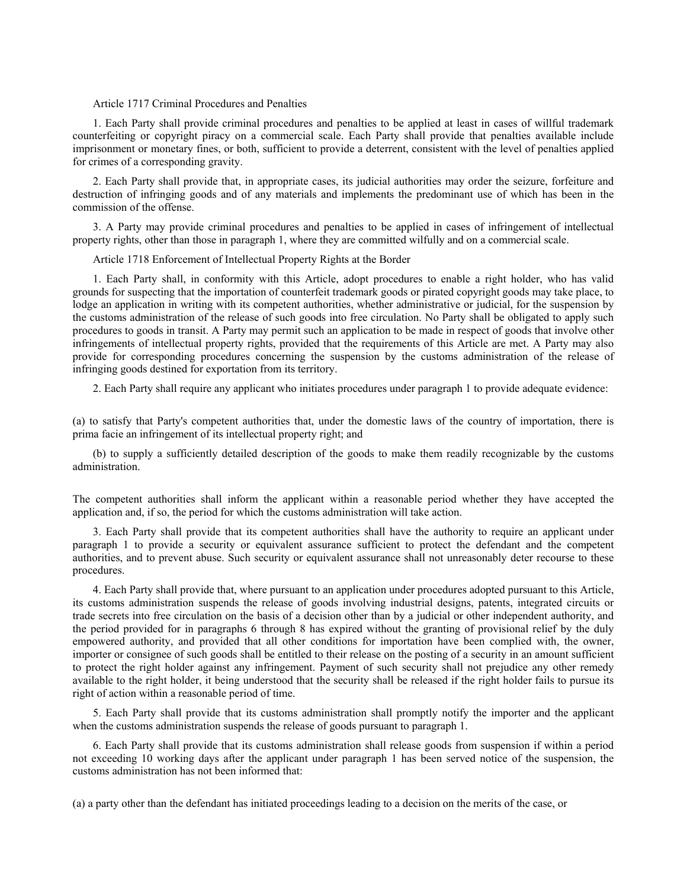#### Article 1717 Criminal Procedures and Penalties

1. Each Party shall provide criminal procedures and penalties to be applied at least in cases of willful trademark counterfeiting or copyright piracy on a commercial scale. Each Party shall provide that penalties available include imprisonment or monetary fines, or both, sufficient to provide a deterrent, consistent with the level of penalties applied for crimes of a corresponding gravity.

2. Each Party shall provide that, in appropriate cases, its judicial authorities may order the seizure, forfeiture and destruction of infringing goods and of any materials and implements the predominant use of which has been in the commission of the offense.

3. A Party may provide criminal procedures and penalties to be applied in cases of infringement of intellectual property rights, other than those in paragraph 1, where they are committed wilfully and on a commercial scale.

## Article 1718 Enforcement of Intellectual Property Rights at the Border

1. Each Party shall, in conformity with this Article, adopt procedures to enable a right holder, who has valid grounds for suspecting that the importation of counterfeit trademark goods or pirated copyright goods may take place, to lodge an application in writing with its competent authorities, whether administrative or judicial, for the suspension by the customs administration of the release of such goods into free circulation. No Party shall be obligated to apply such procedures to goods in transit. A Party may permit such an application to be made in respect of goods that involve other infringements of intellectual property rights, provided that the requirements of this Article are met. A Party may also provide for corresponding procedures concerning the suspension by the customs administration of the release of infringing goods destined for exportation from its territory.

2. Each Party shall require any applicant who initiates procedures under paragraph 1 to provide adequate evidence:

(a) to satisfy that Party's competent authorities that, under the domestic laws of the country of importation, there is prima facie an infringement of its intellectual property right; and

(b) to supply a sufficiently detailed description of the goods to make them readily recognizable by the customs administration.

The competent authorities shall inform the applicant within a reasonable period whether they have accepted the application and, if so, the period for which the customs administration will take action.

3. Each Party shall provide that its competent authorities shall have the authority to require an applicant under paragraph 1 to provide a security or equivalent assurance sufficient to protect the defendant and the competent authorities, and to prevent abuse. Such security or equivalent assurance shall not unreasonably deter recourse to these procedures.

4. Each Party shall provide that, where pursuant to an application under procedures adopted pursuant to this Article, its customs administration suspends the release of goods involving industrial designs, patents, integrated circuits or trade secrets into free circulation on the basis of a decision other than by a judicial or other independent authority, and the period provided for in paragraphs 6 through 8 has expired without the granting of provisional relief by the duly empowered authority, and provided that all other conditions for importation have been complied with, the owner, importer or consignee of such goods shall be entitled to their release on the posting of a security in an amount sufficient to protect the right holder against any infringement. Payment of such security shall not prejudice any other remedy available to the right holder, it being understood that the security shall be released if the right holder fails to pursue its right of action within a reasonable period of time.

5. Each Party shall provide that its customs administration shall promptly notify the importer and the applicant when the customs administration suspends the release of goods pursuant to paragraph 1.

6. Each Party shall provide that its customs administration shall release goods from suspension if within a period not exceeding 10 working days after the applicant under paragraph 1 has been served notice of the suspension, the customs administration has not been informed that:

(a) a party other than the defendant has initiated proceedings leading to a decision on the merits of the case, or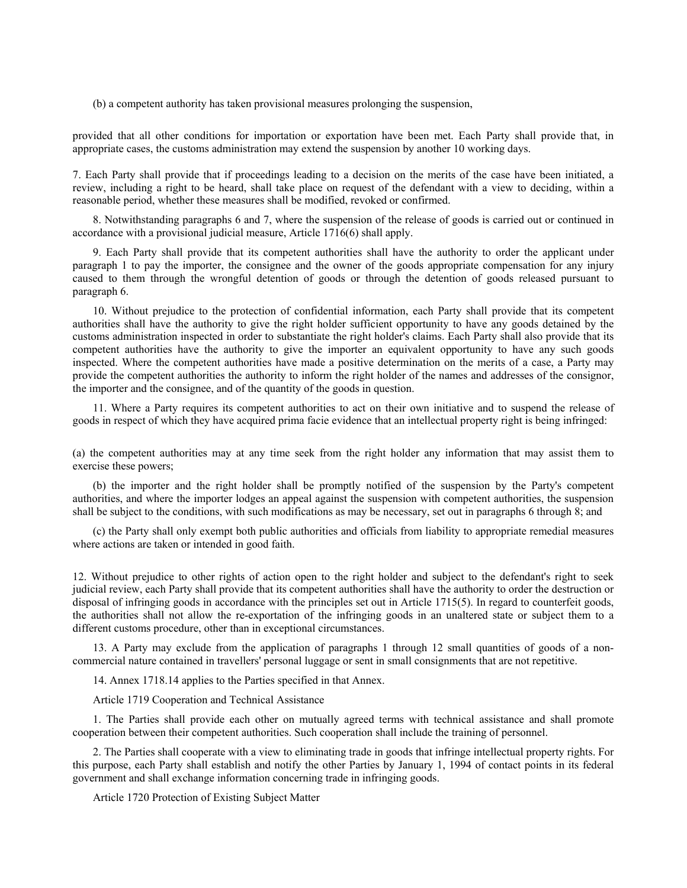(b) a competent authority has taken provisional measures prolonging the suspension,

provided that all other conditions for importation or exportation have been met. Each Party shall provide that, in appropriate cases, the customs administration may extend the suspension by another 10 working days.

7. Each Party shall provide that if proceedings leading to a decision on the merits of the case have been initiated, a review, including a right to be heard, shall take place on request of the defendant with a view to deciding, within a reasonable period, whether these measures shall be modified, revoked or confirmed.

8. Notwithstanding paragraphs 6 and 7, where the suspension of the release of goods is carried out or continued in accordance with a provisional judicial measure, Article 1716(6) shall apply.

9. Each Party shall provide that its competent authorities shall have the authority to order the applicant under paragraph 1 to pay the importer, the consignee and the owner of the goods appropriate compensation for any injury caused to them through the wrongful detention of goods or through the detention of goods released pursuant to paragraph 6.

10. Without prejudice to the protection of confidential information, each Party shall provide that its competent authorities shall have the authority to give the right holder sufficient opportunity to have any goods detained by the customs administration inspected in order to substantiate the right holder's claims. Each Party shall also provide that its competent authorities have the authority to give the importer an equivalent opportunity to have any such goods inspected. Where the competent authorities have made a positive determination on the merits of a case, a Party may provide the competent authorities the authority to inform the right holder of the names and addresses of the consignor, the importer and the consignee, and of the quantity of the goods in question.

11. Where a Party requires its competent authorities to act on their own initiative and to suspend the release of goods in respect of which they have acquired prima facie evidence that an intellectual property right is being infringed:

(a) the competent authorities may at any time seek from the right holder any information that may assist them to exercise these powers;

(b) the importer and the right holder shall be promptly notified of the suspension by the Party's competent authorities, and where the importer lodges an appeal against the suspension with competent authorities, the suspension shall be subject to the conditions, with such modifications as may be necessary, set out in paragraphs 6 through 8; and

(c) the Party shall only exempt both public authorities and officials from liability to appropriate remedial measures where actions are taken or intended in good faith.

12. Without prejudice to other rights of action open to the right holder and subject to the defendant's right to seek judicial review, each Party shall provide that its competent authorities shall have the authority to order the destruction or disposal of infringing goods in accordance with the principles set out in Article 1715(5). In regard to counterfeit goods, the authorities shall not allow the re-exportation of the infringing goods in an unaltered state or subject them to a different customs procedure, other than in exceptional circumstances.

13. A Party may exclude from the application of paragraphs 1 through 12 small quantities of goods of a noncommercial nature contained in travellers' personal luggage or sent in small consignments that are not repetitive.

14. Annex 1718.14 applies to the Parties specified in that Annex.

Article 1719 Cooperation and Technical Assistance

1. The Parties shall provide each other on mutually agreed terms with technical assistance and shall promote cooperation between their competent authorities. Such cooperation shall include the training of personnel.

2. The Parties shall cooperate with a view to eliminating trade in goods that infringe intellectual property rights. For this purpose, each Party shall establish and notify the other Parties by January 1, 1994 of contact points in its federal government and shall exchange information concerning trade in infringing goods.

Article 1720 Protection of Existing Subject Matter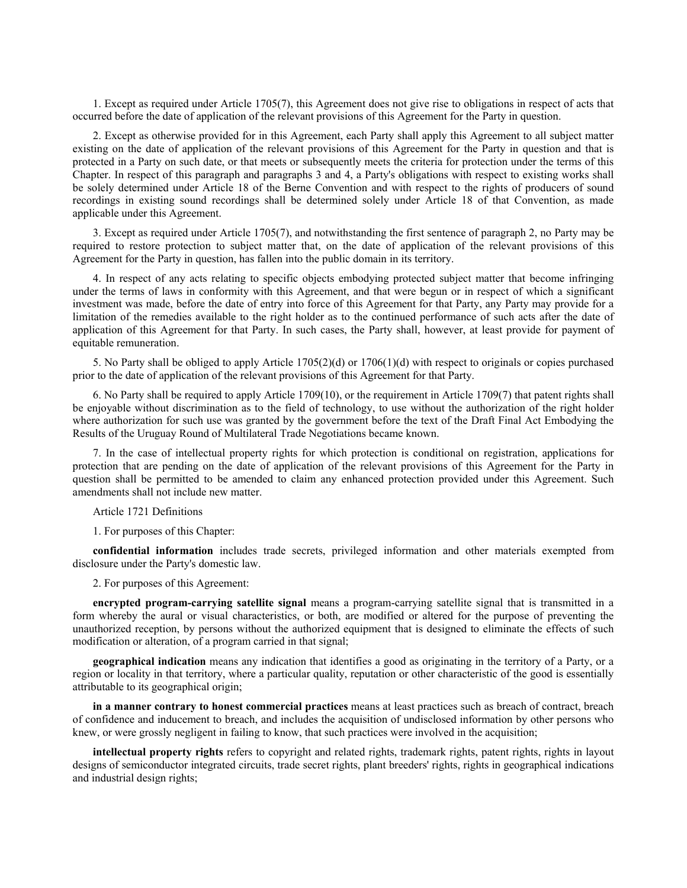1. Except as required under Article 1705(7), this Agreement does not give rise to obligations in respect of acts that occurred before the date of application of the relevant provisions of this Agreement for the Party in question.

2. Except as otherwise provided for in this Agreement, each Party shall apply this Agreement to all subject matter existing on the date of application of the relevant provisions of this Agreement for the Party in question and that is protected in a Party on such date, or that meets or subsequently meets the criteria for protection under the terms of this Chapter. In respect of this paragraph and paragraphs 3 and 4, a Party's obligations with respect to existing works shall be solely determined under Article 18 of the Berne Convention and with respect to the rights of producers of sound recordings in existing sound recordings shall be determined solely under Article 18 of that Convention, as made applicable under this Agreement.

3. Except as required under Article 1705(7), and notwithstanding the first sentence of paragraph 2, no Party may be required to restore protection to subject matter that, on the date of application of the relevant provisions of this Agreement for the Party in question, has fallen into the public domain in its territory.

4. In respect of any acts relating to specific objects embodying protected subject matter that become infringing under the terms of laws in conformity with this Agreement, and that were begun or in respect of which a significant investment was made, before the date of entry into force of this Agreement for that Party, any Party may provide for a limitation of the remedies available to the right holder as to the continued performance of such acts after the date of application of this Agreement for that Party. In such cases, the Party shall, however, at least provide for payment of equitable remuneration.

5. No Party shall be obliged to apply Article 1705(2)(d) or 1706(1)(d) with respect to originals or copies purchased prior to the date of application of the relevant provisions of this Agreement for that Party.

6. No Party shall be required to apply Article 1709(10), or the requirement in Article 1709(7) that patent rights shall be enjoyable without discrimination as to the field of technology, to use without the authorization of the right holder where authorization for such use was granted by the government before the text of the Draft Final Act Embodying the Results of the Uruguay Round of Multilateral Trade Negotiations became known.

7. In the case of intellectual property rights for which protection is conditional on registration, applications for protection that are pending on the date of application of the relevant provisions of this Agreement for the Party in question shall be permitted to be amended to claim any enhanced protection provided under this Agreement. Such amendments shall not include new matter.

Article 1721 Definitions

1. For purposes of this Chapter:

**confidential information** includes trade secrets, privileged information and other materials exempted from disclosure under the Party's domestic law.

2. For purposes of this Agreement:

**encrypted program-carrying satellite signal** means a program-carrying satellite signal that is transmitted in a form whereby the aural or visual characteristics, or both, are modified or altered for the purpose of preventing the unauthorized reception, by persons without the authorized equipment that is designed to eliminate the effects of such modification or alteration, of a program carried in that signal;

**geographical indication** means any indication that identifies a good as originating in the territory of a Party, or a region or locality in that territory, where a particular quality, reputation or other characteristic of the good is essentially attributable to its geographical origin;

**in a manner contrary to honest commercial practices** means at least practices such as breach of contract, breach of confidence and inducement to breach, and includes the acquisition of undisclosed information by other persons who knew, or were grossly negligent in failing to know, that such practices were involved in the acquisition;

**intellectual property rights** refers to copyright and related rights, trademark rights, patent rights, rights in layout designs of semiconductor integrated circuits, trade secret rights, plant breeders' rights, rights in geographical indications and industrial design rights;